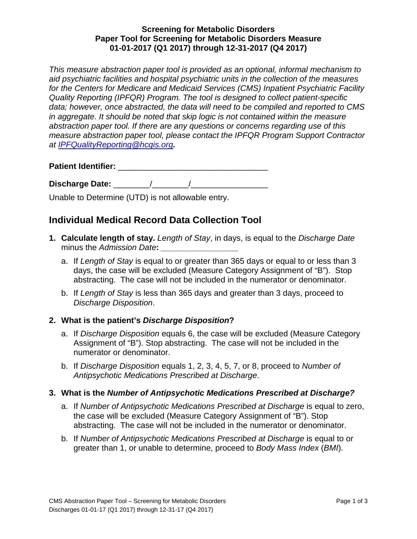## **Screening for Metabolic Disorders Paper Tool for Screening for Metabolic Disorders Measure 01-01-2017 (Q1 2017) through 12-31-2017 (Q4 2017)**

*This measure abstraction paper tool is provided as an optional, informal mechanism to aid psychiatric facilities and hospital psychiatric units in the collection of the measures for the Centers for Medicare and Medicaid Services (CMS) Inpatient Psychiatric Facility Quality Reporting (IPFQR) Program. The tool is designed to collect patient-specific data; however, once abstracted, the data will need to be compiled and reported to CMS in aggregate. It should be noted that skip logic is not contained within the measure abstraction paper tool. If there are any questions or concerns regarding use of this measure abstraction paper tool, please contact the IPFQR Program Support Contractor at [IPFQualityReporting@hcqis.org](mailto:IPFQualityReporting@hcqis.org).*

**Patient Identifier:** \_\_\_\_\_\_\_\_\_\_\_\_\_\_\_\_\_\_\_\_\_\_\_\_\_\_\_\_\_\_\_\_\_

**Discharge Date:** \_\_\_\_\_\_\_\_/\_\_\_\_\_\_\_\_/\_\_\_\_\_\_\_\_\_\_\_\_\_\_\_\_\_

Unable to Determine (UTD) is not allowable entry.

# **Individual Medical Record Data Collection Tool**

- **1. Calculate length of stay.** *Length of Stay*, in days, is equal to the *Discharge Date* minus the *Admission Date***:** *\_\_\_\_\_\_\_\_\_\_\_\_\_\_\_\_\_*
	- a. If *Length of Stay* is equal to or greater than 365 days or equal to or less than 3 days, the case will be excluded (Measure Category Assignment of "B"). Stop abstracting. The case will not be included in the numerator or denominator.
	- b. If *Length of Stay* is less than 365 days and greater than 3 days, proceed to *Discharge Disposition*.

## **2. What is the patient's** *Discharge Disposition***?**

- a. If *Discharge Disposition* equals 6, the case will be excluded (Measure Category Assignment of "B"). Stop abstracting. The case will not be included in the numerator or denominator.
- b. If *Discharge Disposition* equals 1, 2, 3, 4, 5, 7, or 8, proceed to *Number of Antipsychotic Medications Prescribed at Discharge*.

## **3. What is the** *Number of Antipsychotic Medications Prescribed at Discharge?*

- a. If *Number of Antipsychotic Medications Prescribed at Discharge* is equal to zero, the case will be excluded (Measure Category Assignment of "B"). Stop abstracting. The case will not be included in the numerator or denominator.
- b. If *Number of Antipsychotic Medications Prescribed at Discharge* is equal to or greater than 1, or unable to determine, proceed to *Body Mass Index* (*BMI*).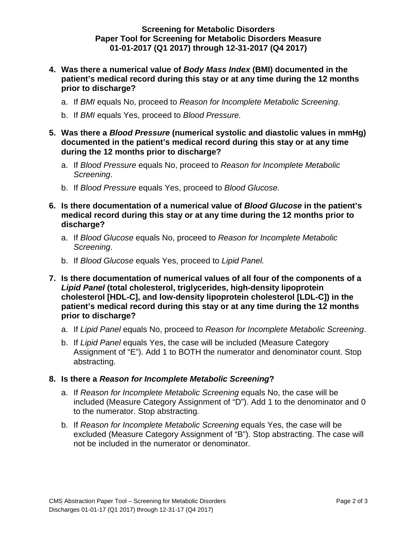### **Screening for Metabolic Disorders Paper Tool for Screening for Metabolic Disorders Measure 01-01-2017 (Q1 2017) through 12-31-2017 (Q4 2017)**

- **4. Was there a numerical value of** *Body Mass Index* **(BMI) documented in the patient's medical record during this stay or at any time during the 12 months prior to discharge?** 
	- a. If *BMI* equals No, proceed to *Reason for Incomplete Metabolic Screening*.
	- b. If *BMI* equals Yes, proceed to *Blood Pressure.*
- **5. Was there a** *Blood Pressure* **(numerical systolic and diastolic values in mmHg) documented in the patient's medical record during this stay or at any time during the 12 months prior to discharge?** 
	- a. If *Blood Pressure* equals No, proceed to *Reason for Incomplete Metabolic Screening*.
	- b. If *Blood Pressure* equals Yes, proceed to *Blood Glucose.*
- **6. Is there documentation of a numerical value of** *Blood Glucose* **in the patient's medical record during this stay or at any time during the 12 months prior to discharge?** 
	- a. If *Blood Glucose* equals No, proceed to *Reason for Incomplete Metabolic Screening*.
	- b. If *Blood Glucose* equals Yes, proceed to *Lipid Panel.*
- **7. Is there documentation of numerical values of all four of the components of a**  *Lipid Panel* **(total cholesterol, triglycerides, high-density lipoprotein cholesterol [HDL-C], and low-density lipoprotein cholesterol [LDL-C]) in the patient's medical record during this stay or at any time during the 12 months prior to discharge?** 
	- a. If *Lipid Panel* equals No, proceed to *Reason for Incomplete Metabolic Screening*.
	- b. If *Lipid Panel* equals Yes, the case will be included (Measure Category Assignment of "E"). Add 1 to BOTH the numerator and denominator count. Stop abstracting.

## **8. Is there a** *Reason for Incomplete Metabolic Screening***?**

- a. If *Reason for Incomplete Metabolic Screening* equals No, the case will be included (Measure Category Assignment of "D"). Add 1 to the denominator and 0 to the numerator. Stop abstracting.
- b. If *Reason for Incomplete Metabolic Screening* equals Yes, the case will be excluded (Measure Category Assignment of "B"). Stop abstracting. The case will not be included in the numerator or denominator.